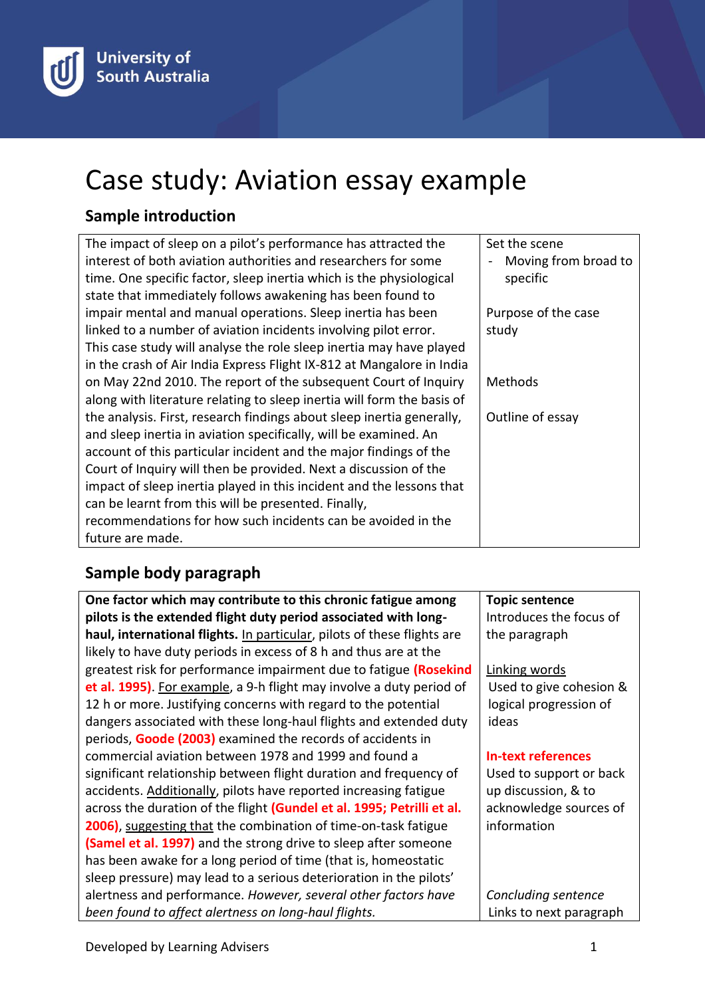# Case study: Aviation essay example

## **Sample introduction**

| The impact of sleep on a pilot's performance has attracted the         | Set the scene        |
|------------------------------------------------------------------------|----------------------|
|                                                                        |                      |
| interest of both aviation authorities and researchers for some         | Moving from broad to |
| time. One specific factor, sleep inertia which is the physiological    | specific             |
| state that immediately follows awakening has been found to             |                      |
| impair mental and manual operations. Sleep inertia has been            | Purpose of the case  |
| linked to a number of aviation incidents involving pilot error.        | study                |
| This case study will analyse the role sleep inertia may have played    |                      |
| in the crash of Air India Express Flight IX-812 at Mangalore in India  |                      |
| on May 22nd 2010. The report of the subsequent Court of Inquiry        | Methods              |
| along with literature relating to sleep inertia will form the basis of |                      |
| the analysis. First, research findings about sleep inertia generally,  | Outline of essay     |
| and sleep inertia in aviation specifically, will be examined. An       |                      |
| account of this particular incident and the major findings of the      |                      |
| Court of Inquiry will then be provided. Next a discussion of the       |                      |
| impact of sleep inertia played in this incident and the lessons that   |                      |
| can be learnt from this will be presented. Finally,                    |                      |
| recommendations for how such incidents can be avoided in the           |                      |
| future are made.                                                       |                      |

## **Sample body paragraph**

**One factor which may contribute to this chronic fatigue among pilots is the extended flight duty period associated with longhaul, international flights.** In particular, pilots of these flights are likely to have duty periods in excess of 8 h and thus are at the greatest risk for performance impairment due to fatigue **(Rosekind et al. 1995)**. For example, a 9-h flight may involve a duty period of 12 h or more. Justifying concerns with regard to the potential dangers associated with these long-haul flights and extended duty periods, **Goode (2003)** examined the records of accidents in commercial aviation between 1978 and 1999 and found a significant relationship between flight duration and frequency of accidents. Additionally, pilots have reported increasing fatigue across the duration of the flight **(Gundel et al. 1995; Petrilli et al. 2006**), suggesting that the combination of time-on-task fatigue **(Samel et al. 1997)** and the strong drive to sleep after someone has been awake for a long period of time (that is, homeostatic sleep pressure) may lead to a serious deterioration in the pilots' alertness and performance. *However, several other factors have been found to affect alertness on long-haul flights.* **Topic sentence** Introduces the focus of the paragraph Linking words Used to give cohesion & logical progression of ideas **In-text references** Used to support or back up discussion, & to acknowledge sources of information *Concluding sentence* Links to next paragraph